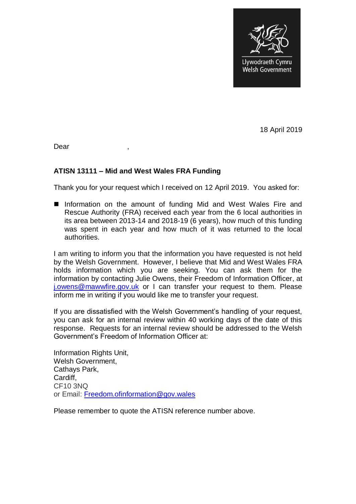

18 April 2019

Dear ,

## **ATISN 13111 – Mid and West Wales FRA Funding**

Thank you for your request which I received on 12 April 2019. You asked for:

■ Information on the amount of funding Mid and West Wales Fire and Rescue Authority (FRA) received each year from the 6 local authorities in its area between 2013-14 and 2018-19 (6 years), how much of this funding was spent in each year and how much of it was returned to the local authorities.

I am writing to inform you that the information you have requested is not held by the Welsh Government. However, I believe that Mid and West Wales FRA holds information which you are seeking. You can ask them for the information by contacting Julie Owens, their Freedom of Information Officer, at [j.owens@mawwfire.gov.uk](mailto:j.owens@mawwfire.gov.uk) or I can transfer your request to them. Please inform me in writing if you would like me to transfer your request.

If you are dissatisfied with the Welsh Government's handling of your request, you can ask for an internal review within 40 working days of the date of this response. Requests for an internal review should be addressed to the Welsh Government's Freedom of Information Officer at:

Information Rights Unit, Welsh Government, Cathays Park, Cardiff, CF10 3NQ or Email: [Freedom.ofinformation@gov.wales](mailto:Freedom.ofinformation@gov.wales)

Please remember to quote the ATISN reference number above.